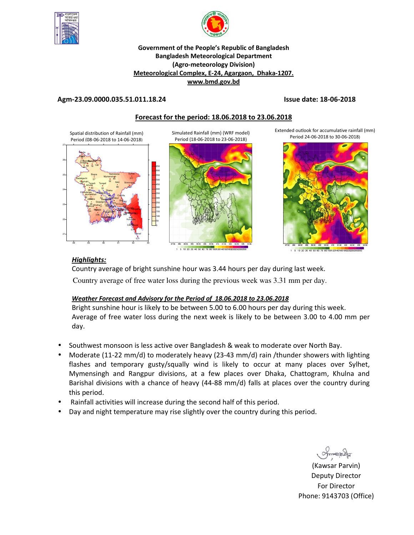



#### **Government of the People's Republic of Bangladesh Bangladesh Meteorological Department (Agro-meteorology Division) Meteorological Complex, E-24, Agargaon, Dhaka-1207. www.bmd.gov.bd**

#### **Agm-23.09.0000.035.51.011.18.24 Issue date: 18-06-2018**

### **Forecast for the period: 18.06.2018 to 23.06.2018**

Spatial distribution of Rainfall (mm) Period (08-06-2018 to 14-06-2018)



Simulated Rainfall (mm) (WRF model) Period (18-06-2018 to 23-06-2018)



1 5 10 20 30 40 50 60 70 80 10012014016018

Extended outlook for accumulative rainfall (mm) Period 24-06-2018 to 30-06-2018)



#### 1 5 10 20 30 40 50 60 70 80 1001201401601802

## *Highlights:*

Country average of bright sunshine hour was 3.44 hours per day during last week. Country average of free water loss during the previous week was 3.31 mm per day.

#### *Weather Forecast and Advisory for the Period of 18.06.2018 to 23.06.2018*

Bright sunshine hour is likely to be between 5.00 to 6.00 hours per day during this week. Average of free water loss during the next week is likely to be between 3.00 to 4.00 mm per day.

- Southwest monsoon is less active over Bangladesh & weak to moderate over North Bay.
- Moderate (11-22 mm/d) to moderately heavy (23-43 mm/d) rain /thunder showers with lighting flashes and temporary gusty/squally wind is likely to occur at many places over Sylhet, Mymensingh and Rangpur divisions, at a few places over Dhaka, Chattogram, Khulna and Barishal divisions with a chance of heavy (44-88 mm/d) falls at places over the country during this period.
- Rainfall activities will increase during the second half of this period.
- Day and night temperature may rise slightly over the country during this period.

(Kawsar Parvin) Deputy Director For Director Phone: 9143703 (Office)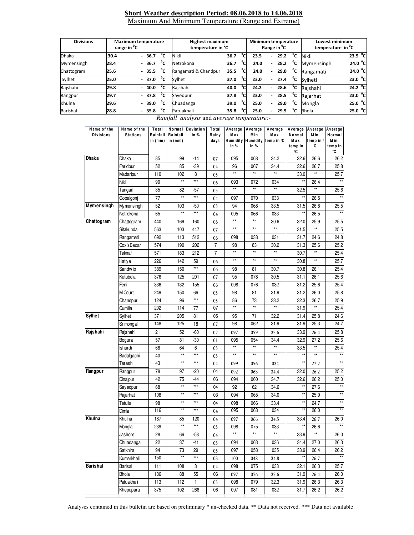#### **Short Weather description Period: 08.06.2018 to 14.06.2018** Maximum And Minimum Temperature (Range and Extreme)

| <b>Divisions</b> | range in <sup>o</sup> C | <b>Maximum temperature</b>             | <b>Highest maximum</b><br>temperature in <sup>"</sup> C |      |              | Minimum temperature<br>Range in <sup>o</sup> C |                          |      |    | Lowest minimum<br>temperature in <sup>o</sup> C |                   |
|------------------|-------------------------|----------------------------------------|---------------------------------------------------------|------|--------------|------------------------------------------------|--------------------------|------|----|-------------------------------------------------|-------------------|
| <b>Dhaka</b>     | 30.4                    | °c<br>$-36.7$                          | Nikli                                                   | 36.7 | °c           | 23.5                                           | $\overline{\phantom{a}}$ | 29.2 | °c | Nikli                                           | 23.5 $\degree$ C  |
| Mymensingh       | 28.4                    | °c<br>$-36.7$                          | Netrokona                                               | 36.7 | °Cı          | 24.0                                           | $\overline{\phantom{a}}$ | 28.2 | °c | Mymensingh                                      | 24.0 °C           |
| Chattogram       | 25.6                    | °c<br>$-35.5$                          | Rangamati & Chandpur                                    | 35.5 | $^{\circ}$ C | 24.0                                           | $\overline{\phantom{a}}$ | 29.0 | °c | Rangamati                                       | 24.0 °C           |
| Sylhet           | 25.0                    | °c<br>$-37.0$                          | Sylhet                                                  | 37.0 | °Cı          | 23.0                                           | $\overline{\phantom{0}}$ | 27.4 | °c | Svlhetl                                         | 23.0 °C           |
| Rajshahi         | 29.8                    | °c<br>$-40.0$                          | Rajshahi                                                | 40.0 | °c           | 24.2                                           | $\overline{\phantom{0}}$ | 28.6 | °c | Raishahi                                        | 24.2 $^{\circ}$ C |
| Rangpur          | 29.7                    | °c<br>$-37.8$                          | Savedpur                                                | 37.8 | °c           | 23.0                                           | $\overline{\phantom{0}}$ | 28.5 | °c | Raiarhat                                        | 23.0 °C           |
| Khulna           | 29.6                    | °c<br>39.0<br>$\overline{\phantom{0}}$ | Chuadanga                                               | 39.0 | °Cı          | 25.0                                           | ۰.                       | 29.0 | °c | Mongla                                          | 25.0 °C           |
| Barishal         | 28.8                    | °c<br>35.8                             | Patuakhali                                              | 35.8 | $^{\circ}$ C | 25.0                                           |                          | 29.5 | °c | <b>Bhola</b>                                    | 25.0 °C           |

*Rainfall analysis* and *average temperature:-*

| Name of the<br><b>Divisions</b> | Name of the<br><b>Stations</b> | Total<br>Rainfall<br>in (mm) | Normal<br>Rainfall<br>in (mm) | Deviation<br>in % | Total<br>Rainy<br>days | Average<br>M ax<br>in % | Average<br>M in<br>in % | Average<br>M ax.<br>Humidity Humidity temp in °C | Average<br>Normal<br>M ax.<br>temp in<br>°C | Average<br>M in.<br>temp in °<br>C | Average<br>Normal<br>M in.<br>temp in<br>۰C |
|---------------------------------|--------------------------------|------------------------------|-------------------------------|-------------------|------------------------|-------------------------|-------------------------|--------------------------------------------------|---------------------------------------------|------------------------------------|---------------------------------------------|
| Dhaka                           | Dhaka                          | 85                           | 99                            | $-14$             | 07                     | 095                     | 068                     | 34.2                                             | 32.6                                        | 26.6                               | 26.2                                        |
|                                 | Faridpur                       | 52                           | 85                            | -39               | 04                     | 96                      | 067                     | 34.4                                             | 32.6                                        | 26.7                               | 25.8                                        |
|                                 | Madaripur                      | 110                          | 102                           | 8                 | 05                     | $\star\star$            | $\star\star$            | **                                               | 33.0                                        | $\star\star$                       | 25.7                                        |
|                                 | Nikli                          | 90                           | ××                            | ***               | 06                     | 093                     | 072                     | 034                                              | $\star\star$                                | 26.4                               | $\star\star$                                |
|                                 | Tangail                        | 35                           | 82                            | $-57$             | 05                     | $\star\star$            | $\star\star$            | $\star\star$                                     | 32.5                                        | ××                                 | 25.6                                        |
|                                 | Gopalgonj                      | 77                           | $\star\star$                  | $***$             | 04                     | 097                     | 070                     | 033                                              | ××                                          | 26.5                               | $\star\star$                                |
| <b>Mymensingh</b>               | Mymensingh                     | 52                           | 103                           | $-50$             | 05                     | 94                      | 068                     | 33.5                                             | 31.5                                        | 26.8                               | 25.5                                        |
|                                 | Netrokona                      | 65                           | $\star\star$                  | ***               | 04                     | 095                     | 066                     | 033                                              | **                                          | 26.5                               | $\star\star$                                |
| Chattogram                      | Chattogram                     | 440                          | 169                           | 160               | 06                     | $\star\star$            | $\star\star$            | 30.6                                             | 32.0                                        | 25.9                               | 25.5                                        |
|                                 | Sitakunda                      | 563                          | 103                           | 447               | 07                     | $\star\star$            | $\star\star$            | **                                               | 31.5                                        | $\star\star$                       | 25.5                                        |
|                                 | Rangamati                      | 692                          | 113                           | 512               | 06                     | 098                     | 038                     | 031                                              | 31.7                                        | 24.6                               | 24.8                                        |
|                                 | Cox'sBazar                     | 574                          | 190                           | 202               | 7                      | 98                      | 83                      | 30.2                                             | 31.3                                        | 25.6                               | 25.2                                        |
|                                 | Teknaf                         | 571                          | 183                           | 212               | $\overline{7}$         | $\star\star$            | $\star\star$            | $\star\star$                                     | 30.7                                        | $\star\star$                       | 25.4                                        |
|                                 | Hatiya                         | 226                          | 142                           | 59                | 06                     | $\star\star$            | $\star\star$            | **                                               | 30.8                                        | $\star\star$                       | 25.7                                        |
|                                 | Sandw ip                       | 389                          | 150                           | ***               | 06                     | 98                      | 81                      | 30.7                                             | 30.8                                        | 26.1                               | 25.4                                        |
|                                 | Kutubdia                       | 376                          | 125                           | 201               | 07                     | 95                      | 078                     | 30.5                                             | 31.1                                        | 26.1                               | 25.6                                        |
|                                 | Feni                           | 336                          | 132                           | 155               | 06                     | 098                     | 076                     | 032                                              | 31.2                                        | 25.6                               | 25.4                                        |
|                                 | M.Court                        | 249                          | 150                           | 66                | 05                     | 98                      | 81                      | 31.9                                             | 31.2                                        | 26.0                               | 25.8                                        |
|                                 | Chandpur                       | 124                          | 96                            | ***               | 05                     | 86                      | 73                      | 33.2                                             | 32.3                                        | 26.7                               | 25.9                                        |
|                                 | Cumilla                        | 202                          | 114                           | 77                | 07                     | $\star\star$            | $\star\star$            | $**$                                             | 31.9                                        | **                                 | 25.4                                        |
| <b>Sylhet</b>                   | Sylhet                         | 371                          | 205                           | 81                | 05                     | 95                      | 71                      | 32.2                                             | 31.4                                        | 25.8                               | 24.6                                        |
|                                 | Srimongal                      | 148                          | 125                           | 18                | 07                     | 98                      | 062                     | 31.9                                             | 31.9                                        | 25.3                               | 24.7                                        |
| Rajshahi                        | Rajshahi                       | 21                           | 52                            | -60               | 02                     | 097                     | 059                     | 35.6                                             | 33.9                                        | 26.4                               | 25.8                                        |
|                                 | Bogura                         | 57                           | 81                            | $-30$             | 01                     | 095                     | 054                     | 34.4                                             | 32.9                                        | 27.2                               | 25.6                                        |
|                                 | Ishurdi                        | 68                           | 64                            | 6                 | 05                     | $\star\star$            | $\star\star$            | $\star\star$                                     | 33.5                                        | $\star\star$                       | 25.4                                        |
|                                 | Badalgachi                     | 40                           | $\star\star$                  | $***$             | 05                     | $\star\star$            | $\star\star$            | $\star\star$                                     | ××                                          | $\star\star$                       | $\star\star$                                |
|                                 | Tarash                         | 43                           | $\star\star$                  | ***               | 04                     | 099                     | 056                     | 034                                              | $\star\star$                                | 27.2                               | $\star\star$                                |
| Rangpur                         | Rangpur                        | 78                           | 97                            | -20               | 04                     | 092                     | 063                     | 34.4                                             | 32.0                                        | 26.2                               | 25.2                                        |
|                                 | Dinajpur                       | 42                           | 75                            | $-44$             | 06                     | 094                     | 060                     | 34.7                                             | 32.6                                        | 26.2                               | 25.0                                        |
|                                 | Sayedpur                       | 68                           | $\star\star$                  | ***               | 04                     | 92                      | 62                      | 34.6                                             | **                                          | 27.6                               | $\star\star$                                |
|                                 | Rajarhat                       | 108                          | $\star\star$                  | $***$             | 03                     | 094                     | 065                     | 34.0                                             | $\star\star$                                | 25.9                               |                                             |
|                                 | Tetulia                        | 98                           | $\star\star$                  | ***               | 04                     | 098                     | 066                     | 33.4                                             | $\star\star$                                | 24.7                               | $\star\star$                                |
|                                 | Dimla                          | 116                          | $\star\star$                  | $***$             | 04                     | 095                     | 063                     | 034                                              | **                                          | 26.0                               | $\star\star$                                |
| Khulna                          | Khulna                         | 187                          | 85                            | 120               | 04                     | 097                     | 066                     | 34.5                                             | 33.4                                        | 26.7                               | 26.0                                        |
|                                 | Mongla                         | 239                          |                               |                   | 05                     | 098                     | 075                     | 033                                              |                                             | 26.6                               |                                             |
|                                 | Jashore                        | 28                           | 66                            | $-58$             | 04                     | $^{\star\star}$         | $\star\star$            | $\star\star$                                     | 33.9                                        | $\star\star$                       | 26.0                                        |
|                                 | Chuadanga                      | 22                           | 37                            | $-41$             | 05                     | 094                     | 063                     | 036                                              | 34.4                                        | 27.0                               | 26.3                                        |
|                                 | Satkhira                       | 94                           | 73                            | 29                | 05                     | 097                     | 053                     | 035                                              | 33.9                                        | 26.4                               | 26.2                                        |
|                                 | Kumarkhali                     | 150                          | $\star\star$                  | $***$             | 03                     | 100                     | 048                     | 34.8                                             |                                             | 26.7                               |                                             |
| Barishal                        | Barisal                        | 111                          | 108                           | 3                 | 04                     | 098                     | 075                     | 033                                              | 32.1                                        | 26.3                               | 25.7                                        |
|                                 | Bhola                          | 136                          | 88                            | 55                | 06                     | 097                     | 076                     | 32.6                                             | 31.9                                        | 26.4                               | 26.0                                        |
|                                 | Patuakhali                     | 113                          | 112                           | $\mathbf{1}$      | 05                     | 098                     | 079                     | 32.3                                             | 31.9                                        | 26.3                               | 26.3                                        |
|                                 | Khepupara                      | 375                          | 102                           | 268               | 06                     | 097                     | 081                     | 032                                              | 31.7                                        | 26.2                               | 26.2                                        |
|                                 |                                |                              |                               |                   |                        |                         |                         |                                                  |                                             |                                    |                                             |

Analyses contained in this bulletin are based on preliminary \* un-checked data. \*\* Data not received. \*\*\* Data not available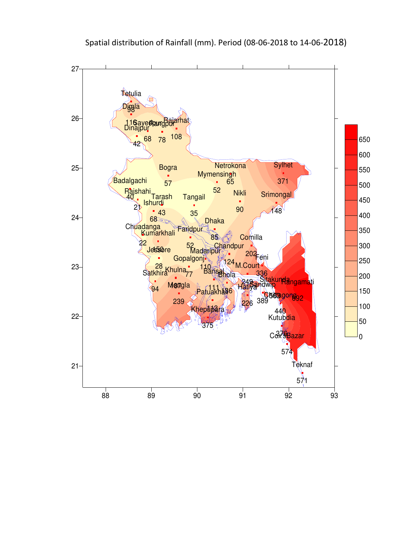

Spatial distribution of Rainfall (mm). Period (08-06-2018 to 14-06-2018)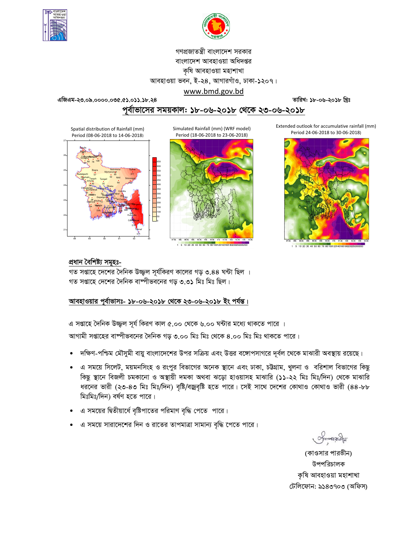



## গণপ্রজাতন্ত্রী বাংলাদেশ সরকার বাংলাদেশ আবহাওয়া অধিদপ্তর কৃষি আবহাওয়া মহাশাখা আবহাওয়া ভবন, ই-২৪, আগারগাঁও, ঢাকা-১২০৭। www.bmd.gov.bd

এজিএম-২৩.০৯.০০০০.০৩৫.৫১.০১১.১৮.২৪

তারিখ: ১৮-০৬-২০১৮ খ্রিঃ

পর্বাভাসের সময়কাল: ১৮-০৬-২০১৮ থেকে ২৩-০৬-২০১৮

Spatial distribution of Rainfall (mm) Period (08-06-2018 to 14-06-2018)



Simulated Rainfall (mm) (WRF model) Period (18-06-2018 to 23-06-2018)



1 5 10 20 30 40 50 60 70 80 1001201401601802

Extended outlook for accumulative rainfall (mm) Period 24-06-2018 to 30-06-2018)



1 5 10 20 30 40 50 60 70 80 100120140160180

## প্ৰধান বৈশিষ্ট্য সমূহঃ-

গত সপ্তাহে দেশের দৈনিক উজ্জল সূর্যকিরণ কালের গড় ৩.৪৪ ঘন্টা ছিল । গত সপ্তাহে দেশের দৈনিক বাষ্পীভবনের গড ৩.৩১ মিঃ মিঃ ছিল।

## আবহাওয়ার পূর্বাভাসঃ- ১৮-০৬-২০১৮ থেকে ২৩-০৬-২০১৮ ইং পর্যন্ত।

এ সপ্তাহে দৈনিক উজ্জল সূর্য কিরণ কাল ৫.০০ থেকে ৬.০০ ঘন্টার মধ্যে থাকতে পারে ।

আগামী সপ্তাহের বাষ্পীভবনের দৈনিক গড় ৩.০০ মিঃ মিঃ থেকে ৪.০০ মিঃ মিঃ থাকতে পারে।

- দক্ষিণ-পশ্চিম মৌসুমী বায়ু বাংলাদেশের উপর সক্রিয় এবং উত্তর বঙ্গোপসাগরে দূর্বল থেকে মাঝারী অবস্থায় রয়েছে।
- এ সময়ে সিলেট, ময়মনসিংহ ও রংপুর বিভাগের অনেক স্থানে এবং ঢাকা, চট্টগ্রাম, খুলনা ও বরিশাল বিভাগের কিছু কিছু স্থানে বিজলী চমকানো ও অস্থায়ী দমকা অথবা ঝড়ো হাওয়াসহ মাঝারি (১১-২২ মিঃ মিঃ/দিন) থেকে মাঝারি ধরনের ভারী (২৩-৪৩ মিঃ মিঃ/দিন) বৃষ্টি/বজ্রবৃষ্টি হতে পারে। সেই সাথে দেশের কোথাও কোথাও ভারী (৪৪-৮৮ মিঃমিঃ/দিন) বর্ষণ হতে পারে।
- এ সময়ের দ্বিতীয়ার্ধে বৃষ্টিপাতের পরিমাণ বৃদ্ধি পেতে পারে।
- এ সময়ে সারাদেশের দিন ও রাতের তাপমাত্রা সামান্য বৃদ্ধি পেতে পারে।

Smanach

(কাওসার পারভীন) উপপরিচালক কৃষি আবহাওয়া মহাশাখা টেলিফোন: ৯১৪৩৭০৩ (অফিস)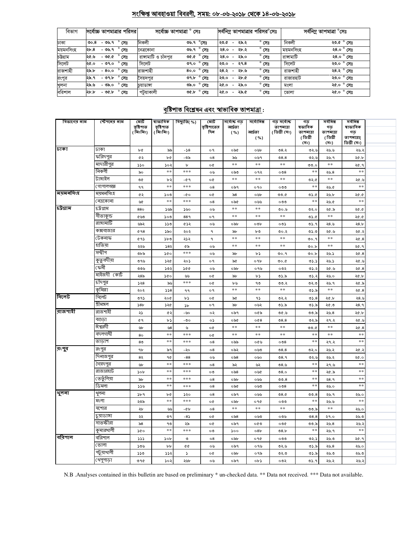## সংক্ষিপ্ত আবহাওয়া বিবরণী, সময়: ০৮-০৬-২০১৮ থেকে ১৪-০৬-২০১৮

| বিভাগ     | সর্বোচ্চ তাপমাত্রার পরিসর        | সৰ্বোচ্চ তাপমাত্ৰা ° সেঃ               | সর্বনিম্ন তাপমাত্রার পরিসর°সেঃ                             | সর্বনিম্ন তাপমাত্রা °সেঃ |  |  |
|-----------|----------------------------------|----------------------------------------|------------------------------------------------------------|--------------------------|--|--|
| ঢাকা      | - ৩৬.৭ ° সেঃ<br>00.8             | নিকলী<br>৩৬.৭ °সেঃ                     | $^{\circ}$ সেঃ<br>২৯.২<br>২৩.৫<br>$\overline{\phantom{a}}$ | নিকলী<br>২৩.৫ ° সেঃ      |  |  |
| ময়মনসিংহ | $^{\circ}$ সেঃ<br>-৩৬.৭<br>২৮.৪  | ৩৬.৭° সেঃ<br>নেত্ৰকোনা                 | $^{\circ}$ সেঃ<br>২৮.২<br>२8.०<br>$\overline{\phantom{0}}$ | ২৪.০ ° সেঃ<br>ময়মনাসংহ  |  |  |
| চউগ্ৰাম   | $^{\circ}$ সেঃ<br>২৫.৬<br>- ৩৫.৫ | রাঙ্গামাটি ও চাঁদপর<br>৩৫.৫ ° সেঃ      | $^{\circ}$ সেঃ<br>২৯.০<br>२8.०<br>$\overline{\phantom{0}}$ | রাঙ্গামাটি<br>২৪.০ ° সেঃ |  |  |
| সিলেট     | $^{\circ}$ সেঃ<br>- ৩৭.০<br>২৫.০ | সিলেট<br>৩৭.০ ° সেঃ                    | $^{\circ}$ সেঃ<br>২৭.৪<br>২৩.০<br>$\overline{\phantom{0}}$ | সিলেট<br>২৩.০ ° সেঃ      |  |  |
| রাজশাহী   | $^{\circ}$ সেঃ<br>২৯.৮<br>- 80.0 | রাজশাহী<br>8০.০ ° সেঃ                  | $^{\circ}$ সেঃ<br>২৪.২<br>২৮.৬<br>$\overline{\phantom{0}}$ | রাজশাহী<br>২৪.২ ° সেঃ    |  |  |
| রংপুর     | $^{\circ}$ সেঃ<br>- ৩৭.৮<br>২৯.৭ | ৩৭.৮ $^{\circ}$ সেঃ<br>সৈয়দপুর        | $^{\circ}$ সেঃ<br>২৮.৫<br>২৩.০<br>$\overline{\phantom{0}}$ | ২৩.০ ° সেঃ<br>রাজারহাট   |  |  |
| খুলনা     | $^{\circ}$ সেঃ<br>২৯.৬<br>- ৩৯.০ | $^{\circ}$ সেঃ<br>ರಿನಿ.೦<br>চয়াডাঙ্গা | $^{\circ}$ সেঃ<br>২৫.০<br>২৯.০<br>$\overline{\phantom{a}}$ | ২৫.০ ° সেঃ<br>মংলা       |  |  |
| বরিশাল    | ۰<br>- ৩৫.৮<br>২৮.৮<br>সেঃ       | পটয়াকালী<br>৩৫.৮ ° সেঃ                | $^{\circ}$ সেঃ<br>২৯.৫<br>২৫.০<br>$\overline{\phantom{a}}$ | ২৫.০ ° সেঃ<br>ভোলা       |  |  |

# <u> বৃষ্টিপাত বিশ্লেষন এবং স্বাভাবিক তাপমাত্ৰা :</u>

| বিভাগের নাম    | স্টেশনের নাম | মোট<br>বৃষ্টিপাত<br>(মিঃমিঃ) | ম্বাভাবিক<br>বৃষ্টিপাত<br>(মিঃমিঃ) | বিছ্যুতি( %) | মোট<br>বৃষ্টিশাতের<br>দিন | সৰ্বোচ্চ গড<br>আৰ্দ্ৰতা<br>( %) | সৰ্বোনিম্ন<br>আৰ্দ্ৰতা<br>( %) | গড় সৰ্বোচ্চ<br>তাপমাত্রা<br>(ডিগ্ৰী সেঃ) | गড<br>ষভাবিক<br>তাপমাত্রা<br>(ডিগ্ৰী | সৰ্বনিম্ন<br>গড<br>তাপমাত্রা<br>(ডিগ্ৰী | সৰ্বনিম্ন<br>ষাভাবিক<br>গড<br>তাপমাত্রা( |  |
|----------------|--------------|------------------------------|------------------------------------|--------------|---------------------------|---------------------------------|--------------------------------|-------------------------------------------|--------------------------------------|-----------------------------------------|------------------------------------------|--|
|                |              |                              |                                    |              |                           |                                 |                                |                                           | (সঃ)                                 | (সঃ)                                    | ডিগ্ৰী সেঃ)                              |  |
| ঢাকা           | ঢাকা         | ৮৫                           | ৯৯                                 | $-58$        | o٩                        | ০৯৫                             | ০৬৮                            | ৩৪.২                                      | ৩২.৬                                 | ২৬.৬                                    | ২৬.২                                     |  |
|                | ফরিদপুর      | ৫২                           | ৮৫                                 | -৩৯          | 08                        | ৯৬                              | ০৬৭                            | 08.8                                      | ৩২.৬                                 | ২৬.৭                                    | ২৫.৮                                     |  |
|                | মাদারীপুর    | 550                          | 502                                | $\mathbf b$  | o¢                        | $\pm$ $\pm$                     | $\pm \pm$                      | $\ast$ $\ast$                             | 0.0                                  | $\ast$ $\ast$                           | ২৫.৭                                     |  |
|                | নিকলী        | ৯০                           | $\ast$ $\ast$                      | ***          | ০৬                        | ০৯৩                             | ०१२                            | $\circ$                                   | **                                   | ২৬.৪                                    | $**$                                     |  |
|                | টাঙ্গাইল     | ৩৫                           | ৮২                                 | -৫ ዓ         | o¢                        | $\ast$ $\ast$                   | $\ast$ $\ast$                  | $**$                                      | ৩২.৫                                 | $\ast$ $\ast$                           | ২৫.৬                                     |  |
|                | গোপালগজ্ঞ    | ۹۹                           | $\pm$ $\pm$                        | ***          | $\circ 8$                 | ০৯৭                             | 090                            | ೲ                                         | $\ast$ $\ast$                        | ২৬.৫                                    | $\pm \pm$                                |  |
| ময়মনসিংহ      | ময়মনসিংহ    | ৫২                           | ১০৩                                | -00          | o¢                        | ৯৪                              | ০৬৮                            | ৩৩.৫                                      | ৩১.৫                                 | ২৬.৮                                    | ১. ১২                                    |  |
|                | নেত্ৰকোনা    | ৬৫                           | $\pm$ $\pm$                        | $* * *$      | $\circ$ 8                 | ০৯৫                             | ০৬৬                            | ೦೦೦                                       | $**$                                 | ২৬.৫                                    | $\ast$                                   |  |
| <u>চউগ্রাম</u> | চট্ৰগ্ৰাম    | 880                          | ১৬৯                                | ১৬০          | ০৬                        | $\ast$ $\ast$                   | $\ast\ast$                     | 0.00                                      | ৩২.০                                 | ২৫.৯                                    | ২৫.৫                                     |  |
|                | সীতাকুন্ড    | ৫৬৩                          | ১০৩                                | 889          | o٩                        | $\ast$ $\ast$                   | $**$                           | $**$                                      | ৩১.৫                                 | $**$                                    | 20.0                                     |  |
|                | রাঙ্গামার্টি | ৬৯২                          | ১১৩                                | ৫১২          | ০৬                        | ০৯৮                             | ০৩৮                            | ০৩১                                       | ৩১.৭                                 | ২৪.৬                                    | 28.b                                     |  |
|                | কক্সবাজার    | 0.98                         | ১৯০                                | ২০২          | ٩                         | ৯৮                              | ৮৩                             | ৩০.২                                      | ৩১.৩                                 | ২৫.৬                                    | ২৫.২                                     |  |
|                | টেকনাফ       | 692                          | ১৮৩                                | ২১২          | ٩                         | $\ast$ $\ast$                   | $\ast$ $\ast$                  | $\ast$ $\ast$                             | ৩০.৭                                 | $\ast$ $\ast$                           | 20.8                                     |  |
|                | হাতিয়া      | ২২৬                          | 583                                | ৫৯           | ০৬                        | $\pm$ $\pm$                     | $\ast$ $\ast$                  | $***$                                     | 00.b                                 | $\ast$ $\ast$                           | ২৫.৭                                     |  |
|                | সন্দ্বীপ     | ৩৮৯                          | ১৫০                                | ***          | ০৬                        | ৯৮                              | ৮১                             | ৩০.৭                                      | 00.b                                 | ২৬.১                                    | ২৫.8                                     |  |
|                | কুতুবদীয়া   | ৩৭৬                          | ১২৫                                | ২০১          | o٩                        | ৯৫                              | ०१৮                            | 0.00                                      | 05.5                                 | ২৬.১                                    | ২৫.৬                                     |  |
|                | ফেনী         | ৩৩৬                          | ১৩২                                | 200          | ০৬                        | ০৯৮                             | ০৭৬                            | ০৩২                                       | ৩১.২                                 | ২৫.৬                                    | ২৫.8                                     |  |
|                | মাইজদী কোর্ট | ২৪৯                          | 500                                | ৬৬           | o¢                        | ৯৮                              | ৮১                             | ৩১.৯                                      | ৩১.২                                 | ২৬.০                                    | ২৫.৮                                     |  |
|                | চাঁদপুর      | 558                          | ৯৬                                 | $***$        | o¢                        | ৮৬                              | ٩৩                             | 00.2                                      | ৩২.৩                                 | ২৬.৭                                    | ২৫.৯                                     |  |
|                | কুমিল্লা     | ২০২                          | 558                                | ۹۹           | ο٩                        | $**$                            | $\ast\ast$                     | **                                        | ৩১.৯                                 | $\pm$ $\pm$                             | 20.8                                     |  |
| সিলেট          | সিলেট        | ৩৭১                          | ২০৫                                | ৮১           | o¢                        | ৯৫                              | ۹১                             | ৩২.২                                      | 05.8                                 | ২৫.৮                                    | ২৪.৬                                     |  |
|                | শ্ৰীমঙ্গল    | 58 <sub>b</sub>              | ১২৫                                | ১৮           | o٩                        | ৯৮                              | ০৬২                            | ৩১.৯                                      | ৩১.৯                                 | ২৫.৩                                    | २8.१                                     |  |
| রাজশাহী        | রাজশাইী      | ২১                           | Q2                                 | -৬০          | ०२                        | ০৯৭                             | ০৫৯                            | ৩৫.৬                                      | ৩৩.৯                                 | ২৬.৪                                    | ২৫.৮                                     |  |
|                | বগুডা        | ৫ १                          | ৮১                                 | -৩০          | ০১                        | ০৯৫                             | 0@8                            | 08.8                                      | ৩২.৯                                 | ২৭.২                                    | ২৫.৬                                     |  |
|                | ঈশ্বরদী      | ৬৮                           | ৬৪                                 | ৬            | o¢                        | $\ast$ $\ast$                   | $\ast$ $\ast$                  | $*\ast$                                   | ৩৩.৫                                 | $\ast$ $\ast$                           | ২৫.৪                                     |  |
|                | বদলগাষী      | 80                           | $\ast$ $\ast$                      | $***$        | o¢                        | $\ast$                          | $\ast$ $\ast$                  | $\ast$ $\ast$                             | $\ast$                               | $\ast$ $\ast$                           | $**$                                     |  |
|                | তাড়াশ       | 8 <sub>0</sub>               | $\ast$                             | ***          | $\circ 8$                 | ০৯৯                             | ০৫৬                            | $\circ$ $\circ$ $\circ$                   | $\ast$                               | ২৭.২                                    | $**$                                     |  |
| রংপুর          | রংপুর        | ٩b                           | ৯৭                                 | -২০          | $\circ$ 8                 | ০৯২                             | ০৬৩                            | 08.8                                      | ৩২.০                                 | ২৬.২                                    | ২৫.২                                     |  |
|                | দিনাজপুর     | 82                           | ዓ৫                                 | $-88$        | ০৬                        | $\circ$ ৯8                      | ০৬০                            | 08.9                                      | ৩২.৬                                 | ২৬.২                                    | ২৫.০                                     |  |
|                | সৈয়দপুর     | ৬৮                           | $**$                               | ***          | $\circ 8$                 | ৯২                              | ৬২                             | ৩ $8.5$                                   | **                                   | ২৭.৬                                    | $**$                                     |  |
|                | রাজারহাট     | 50 <sub>b</sub>              | $\ast$ $\ast$                      | $***$        | ০৩                        | ০৯৪                             | ০৬৫                            | 08.0                                      | $**$                                 | ২৫.৯                                    | $\ast$                                   |  |
|                | তেতুঁলিয়া   | ৯৮                           | $**$                               | ***          | $\circ$ 8                 | ০৯৮                             | ০৬৬                            | 00.8                                      | **                                   | २8.१                                    | $\ast$                                   |  |
|                | ডিমলা        | 356                          | $**$                               | ***          | $^{\circ8}$               | ০৯৫                             | ০৬৩                            | $\circ$                                   | **                                   | ২৬.০                                    | $**$                                     |  |
| থুলনা          | থুলনা        | b4                           | b¢                                 | ১২০          | $\circ$ 8                 | ০৯৭                             | ০৬৬                            | 08.0                                      | 00.8                                 | ২৬. ৭                                   | ২৬.০                                     |  |
|                | মংলা         | ২৩৯                          | $**$                               | ***          | o¢                        | ০৯৮                             | ०१৫                            | ಂ೮                                        | $\ast$ $\ast$                        | ২৬.৬                                    | $**$                                     |  |
|                | যশোর         | ২৮                           | ৬৬                                 | -45          | 08                        | $\ast$ $\ast$                   | $**$                           | $**$                                      | ৩৩.৯                                 | $**$                                    | ২৬.০                                     |  |
|                | চুয়াডাঙ্গা  | ২২                           | ৩৭                                 | $-85$        | o¢                        | ০৯৪                             | ০৬৩                            | ০৩৬                                       | 08.8                                 | ২৭.০                                    | ২৬.৩                                     |  |
|                | সাতক্ষীরা    | ৯৪                           | ۹৩                                 | ২৯           | o¢                        | ০৯৭                             | ০৫৩                            | ০৩৫                                       | ৩৩.৯                                 | ২৬.৪                                    | ২৬.২                                     |  |
|                | কুমারখালী    | ১৫০                          | $**$                               | ***          | $\circ \circ$             | ১০০                             | 08 <sub>b</sub>                | 08.5                                      | $**$                                 | ২৬.৭                                    | $**$                                     |  |
| বরিশাল         | বরিশাল       | 555                          | 50 <sub>b</sub>                    | ৩            | $^{\circ8}$               | ০৯৮                             | ०१৫                            | ೦೦೦                                       | ৩২.১                                 | ২৬.৩                                    | ২৫.৭                                     |  |
|                | ভোলা         | ১৩৬                          | bb                                 | ¢¢           | ০৬                        | ০৯৭                             | ০৭৬                            | ৩২৬                                       | ৩১.৯                                 | ২৬.৪                                    | ২৬.০                                     |  |
|                | পটুয়াথালী   | ১১৩                          | ډدد                                | J.           | o¢                        | ০৯৮                             | ০৭৯                            | ৩২.৩                                      | ৩১.৯                                 | ২৬.৩                                    | ২৬.৩                                     |  |
|                | খেপুশাড়া    | ৩৭৫                          | ১০২                                | ২৬৮          | ০৬                        | ০৯৭                             | ob3                            | ০৩২                                       | ৩১.৭                                 | ২৬.২                                    | ২৬.২                                     |  |

N.B .Analyses contained in this bulletin are based on preliminary \* un-checked data. \*\* Data not received. \*\*\* Data not available.